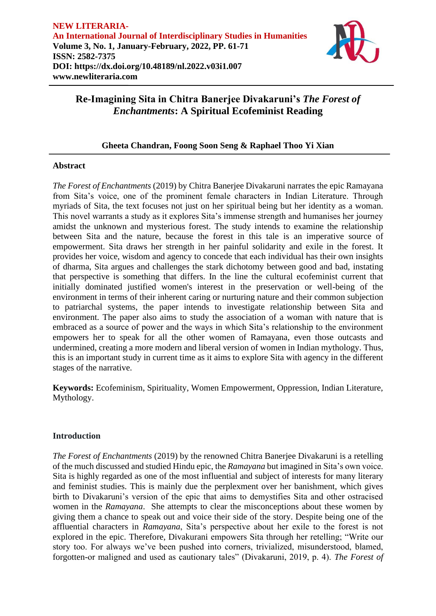

### **Gheeta Chandran, Foong Soon Seng & Raphael Thoo Yi Xian**

### **Abstract**

*The Forest of Enchantments* (2019) by Chitra Banerjee Divakaruni narrates the epic Ramayana from Sita's voice, one of the prominent female characters in Indian Literature. Through myriads of Sita, the text focuses not just on her spiritual being but her identity as a woman. This novel warrants a study as it explores Sita's immense strength and humanises her journey amidst the unknown and mysterious forest. The study intends to examine the relationship between Sita and the nature, because the forest in this tale is an imperative source of empowerment. Sita draws her strength in her painful solidarity and exile in the forest. It provides her voice, wisdom and agency to concede that each individual has their own insights of dharma, Sita argues and challenges the stark dichotomy between good and bad, instating that perspective is something that differs. In the line the cultural ecofeminist current that initially dominated justified women's interest in the preservation or well-being of the environment in terms of their inherent caring or nurturing nature and their common subjection to patriarchal systems, the paper intends to investigate relationship between Sita and environment. The paper also aims to study the association of a woman with nature that is embraced as a source of power and the ways in which Sita's relationship to the environment empowers her to speak for all the other women of Ramayana, even those outcasts and undermined, creating a more modern and liberal version of women in Indian mythology. Thus, this is an important study in current time as it aims to explore Sita with agency in the different stages of the narrative.

**Keywords:** Ecofeminism, Spirituality, Women Empowerment, Oppression, Indian Literature, Mythology.

### **Introduction**

*The Forest of Enchantments* (2019) by the renowned Chitra Banerjee Divakaruni is a retelling of the much discussed and studied Hindu epic, the *Ramayana* but imagined in Sita's own voice. Sita is highly regarded as one of the most influential and subject of interests for many literary and feminist studies. This is mainly due the perplexment over her banishment, which gives birth to Divakaruni's version of the epic that aims to demystifies Sita and other ostracised women in the *Ramayana*. She attempts to clear the misconceptions about these women by giving them a chance to speak out and voice their side of the story. Despite being one of the affluential characters in *Ramayana*, Sita's perspective about her exile to the forest is not explored in the epic. Therefore, Divakurani empowers Sita through her retelling; "Write our story too. For always we've been pushed into corners, trivialized, misunderstood, blamed, forgotten-or maligned and used as cautionary tales" (Divakaruni, 2019, p. 4). *The Forest of*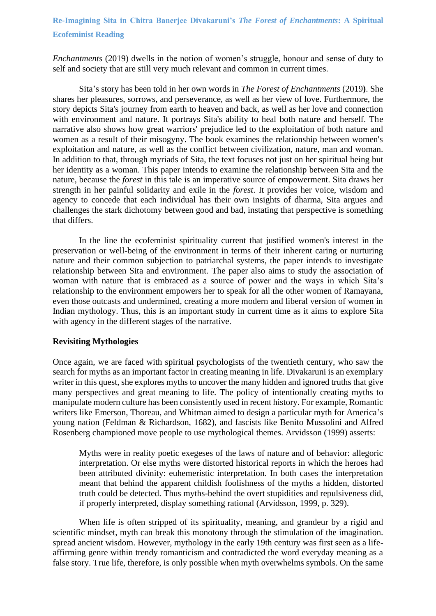*Enchantments* (2019) dwells in the notion of women's struggle, honour and sense of duty to self and society that are still very much relevant and common in current times.

Sita's story has been told in her own words in *The Forest of Enchantments* (2019**)**. She shares her pleasures, sorrows, and perseverance, as well as her view of love. Furthermore, the story depicts Sita's journey from earth to heaven and back, as well as her love and connection with environment and nature. It portrays Sita's ability to heal both nature and herself. The narrative also shows how great warriors' prejudice led to the exploitation of both nature and women as a result of their misogyny. The book examines the relationship between women's exploitation and nature, as well as the conflict between civilization, nature, man and woman. In addition to that, through myriads of Sita, the text focuses not just on her spiritual being but her identity as a woman. This paper intends to examine the relationship between Sita and the nature, because the *forest* in this tale is an imperative source of empowerment. Sita draws her strength in her painful solidarity and exile in the *forest*. It provides her voice, wisdom and agency to concede that each individual has their own insights of dharma, Sita argues and challenges the stark dichotomy between good and bad, instating that perspective is something that differs.

In the line the ecofeminist spirituality current that justified women's interest in the preservation or well-being of the environment in terms of their inherent caring or nurturing nature and their common subjection to patriarchal systems, the paper intends to investigate relationship between Sita and environment. The paper also aims to study the association of woman with nature that is embraced as a source of power and the ways in which Sita's relationship to the environment empowers her to speak for all the other women of Ramayana, even those outcasts and undermined, creating a more modern and liberal version of women in Indian mythology. Thus, this is an important study in current time as it aims to explore Sita with agency in the different stages of the narrative.

#### **Revisiting Mythologies**

Once again, we are faced with spiritual psychologists of the twentieth century, who saw the search for myths as an important factor in creating meaning in life. Divakaruni is an exemplary writer in this quest, she explores myths to uncover the many hidden and ignored truths that give many perspectives and great meaning to life. The policy of intentionally creating myths to manipulate modern culture has been consistently used in recent history. For example, Romantic writers like Emerson, Thoreau, and Whitman aimed to design a particular myth for America's young nation (Feldman & Richardson, 1682), and fascists like Benito Mussolini and Alfred Rosenberg championed move people to use mythological themes. Arvidsson (1999) asserts:

Myths were in reality poetic exegeses of the laws of nature and of behavior: allegoric interpretation. Or else myths were distorted historical reports in which the heroes had been attributed divinity: euhemeristic interpretation. In both cases the interpretation meant that behind the apparent childish foolishness of the myths a hidden, distorted truth could be detected. Thus myths-behind the overt stupidities and repulsiveness did, if properly interpreted, display something rational (Arvidsson, 1999, p. 329).

When life is often stripped of its spirituality, meaning, and grandeur by a rigid and scientific mindset, myth can break this monotony through the stimulation of the imagination. spread ancient wisdom. However, mythology in the early 19th century was first seen as a lifeaffirming genre within trendy romanticism and contradicted the word everyday meaning as a false story. True life, therefore, is only possible when myth overwhelms symbols. On the same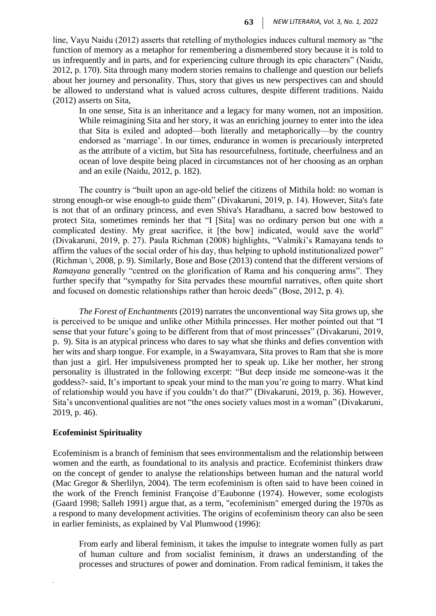line, Vayu Naidu (2012) asserts that retelling of mythologies induces cultural memory as "the function of memory as a metaphor for remembering a dismembered story because it is told to us infrequently and in parts, and for experiencing culture through its epic characters" (Naidu, 2012, p. 170). Sita through many modern stories remains to challenge and question our beliefs about her journey and personality. Thus, story that gives us new perspectives can and should be allowed to understand what is valued across cultures, despite different traditions. Naidu (2012) asserts on Sita,

In one sense, Sita is an inheritance and a legacy for many women, not an imposition. While reimagining Sita and her story, it was an enriching journey to enter into the idea that Sita is exiled and adopted—both literally and metaphorically—by the country endorsed as 'marriage'. In our times, endurance in women is precariously interpreted as the attribute of a victim, but Sita has resourcefulness, fortitude, cheerfulness and an ocean of love despite being placed in circumstances not of her choosing as an orphan and an exile (Naidu, 2012, p. 182).

The country is "built upon an age-old belief the citizens of Mithila hold: no woman is strong enough-or wise enough-to guide them" (Divakaruni, 2019, p. 14). However, Sita's fate is not that of an ordinary princess, and even Shiva's Haradhanu, a sacred bow bestowed to protect Sita, sometimes reminds her that "I [Sita] was no ordinary person but one with a complicated destiny. My great sacrifice, it [the bow] indicated, would save the world" (Divakaruni, 2019, p. 27). Paula Richman (2008) highlights, "Valmiki's Ramayana tends to affirm the values of the social order of his day, thus helping to uphold institutionalized power" (Richman \, 2008, p. 9). Similarly, Bose and Bose (2013) contend that the different versions of *Ramayana* generally "centred on the glorification of Rama and his conquering arms". They further specify that "sympathy for Sita pervades these mournful narratives, often quite short and focused on domestic relationships rather than heroic deeds" (Bose, 2012, p. 4).

*The Forest of Enchantments* (2019) narrates the unconventional way Sita grows up, she is perceived to be unique and unlike other Mithila princesses. Her mother pointed out that "I sense that your future's going to be different from that of most princesses" (Divakaruni, 2019, p. 9). Sita is an atypical princess who dares to say what she thinks and defies convention with her wits and sharp tongue. For example, in a Swayamvara, Sita proves to Ram that she is more than just a girl. Her impulsiveness prompted her to speak up. Like her mother, her strong personality is illustrated in the following excerpt: "But deep inside me someone-was it the goddess?- said, It's important to speak your mind to the man you're going to marry. What kind of relationship would you have if you couldn't do that?" (Divakaruni, 2019, p. 36). However, Sita's unconventional qualities are not "the ones society values most in a woman" (Divakaruni, 2019, p. 46).

#### **Ecofeminist Spirituality**

*.*

Ecofeminism is a branch of feminism that sees environmentalism and the relationship between women and the earth, as foundational to its analysis and practice. Ecofeminist thinkers draw on the concept of gender to analyse the relationships between human and the natural world (Mac Gregor & Sherlilyn, 2004). The term ecofeminism is often said to have been coined in the work of the French feminist Françoise d'Eaubonne (1974). However, some ecologists (Gaard 1998; Salleh 1991) argue that, as a term, "ecofeminism" emerged during the 1970s as a respond to many development activities. The origins of ecofeminism theory can also be seen in earlier feminists, as explained by Val Plumwood (1996):

From early and liberal feminism, it takes the impulse to integrate women fully as part of human culture and from socialist feminism, it draws an understanding of the processes and structures of power and domination. From radical feminism, it takes the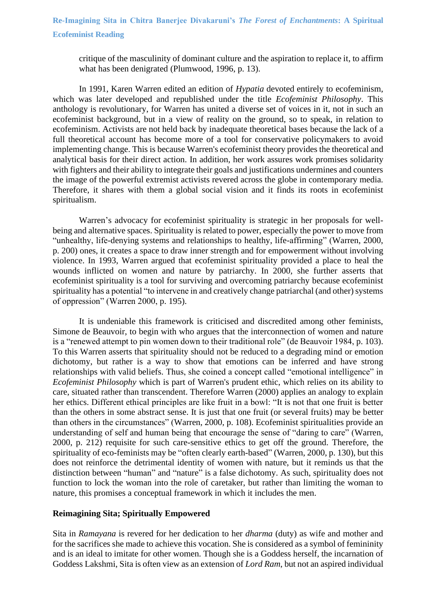critique of the masculinity of dominant culture and the aspiration to replace it, to affirm what has been denigrated (Plumwood, 1996, p. 13).

In 1991, Karen Warren edited an edition of *Hypatia* devoted entirely to ecofeminism, which was later developed and republished under the title *Ecofeminist Philosophy*. This anthology is revolutionary, for Warren has united a diverse set of voices in it, not in such an ecofeminist background, but in a view of reality on the ground, so to speak, in relation to ecofeminism. Activists are not held back by inadequate theoretical bases because the lack of a full theoretical account has become more of a tool for conservative policymakers to avoid implementing change. This is because Warren's ecofeminist theory provides the theoretical and analytical basis for their direct action. In addition, her work assures work promises solidarity with fighters and their ability to integrate their goals and justifications undermines and counters the image of the powerful extremist activists revered across the globe in contemporary media. Therefore, it shares with them a global social vision and it finds its roots in ecofeminist spiritualism.

Warren's advocacy for ecofeminist spirituality is strategic in her proposals for wellbeing and alternative spaces. Spirituality is related to power, especially the power to move from "unhealthy, life-denying systems and relationships to healthy, life-affirming" (Warren, 2000, p. 200) ones, it creates a space to draw inner strength and for empowerment without involving violence. In 1993, Warren argued that ecofeminist spirituality provided a place to heal the wounds inflicted on women and nature by patriarchy. In 2000, she further asserts that ecofeminist spirituality is a tool for surviving and overcoming patriarchy because ecofeminist spirituality has a potential "to intervene in and creatively change patriarchal (and other) systems of oppression" (Warren 2000, p. 195).

It is undeniable this framework is criticised and discredited among other feminists, Simone de Beauvoir, to begin with who argues that the interconnection of women and nature is a "renewed attempt to pin women down to their traditional role" (de Beauvoir 1984, p. 103). To this Warren asserts that spirituality should not be reduced to a degrading mind or emotion dichotomy, but rather is a way to show that emotions can be inferred and have strong relationships with valid beliefs. Thus, she coined a concept called "emotional intelligence" in *Ecofeminist Philosophy* which is part of Warren's prudent ethic, which relies on its ability to care, situated rather than transcendent. Therefore Warren (2000) applies an analogy to explain her ethics. Different ethical principles are like fruit in a bowl: "It is not that one fruit is better than the others in some abstract sense. It is just that one fruit (or several fruits) may be better than others in the circumstances" (Warren, 2000, p. 108). Ecofeminist spiritualities provide an understanding of self and human being that encourage the sense of "daring to care" (Warren, 2000, p. 212) requisite for such care-sensitive ethics to get off the ground. Therefore, the spirituality of eco-feminists may be "often clearly earth-based" (Warren, 2000, p. 130), but this does not reinforce the detrimental identity of women with nature, but it reminds us that the distinction between "human" and "nature" is a false dichotomy. As such, spirituality does not function to lock the woman into the role of caretaker, but rather than limiting the woman to nature, this promises a conceptual framework in which it includes the men.

#### **Reimagining Sita; Spiritually Empowered**

Sita in *Ramayana* is revered for her dedication to her *dharma* (duty) as wife and mother and for the sacrifices she made to achieve this vocation. She is considered as a symbol of femininity and is an ideal to imitate for other women. Though she is a Goddess herself, the incarnation of Goddess Lakshmi, Sita is often view as an extension of *Lord Ram*, but not an aspired individual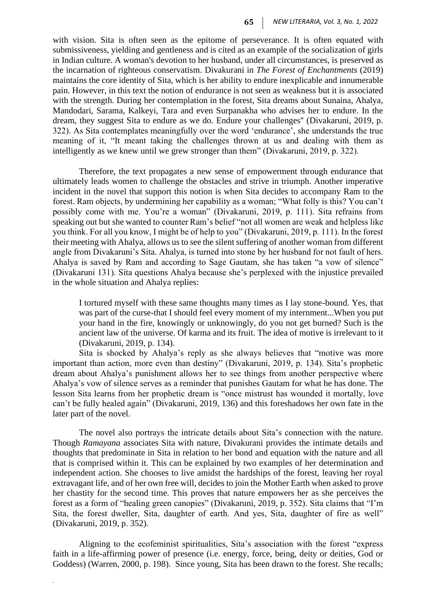with vision. Sita is often seen as the epitome of perseverance. It is often equated with submissiveness, yielding and gentleness and is cited as an example of the socialization of girls in Indian culture. A woman's devotion to her husband, under all circumstances, is preserved as the incarnation of righteous conservatism. Divakurani in *The Forest of Enchantments* (2019) maintains the core identity of Sita, which is her ability to endure inexplicable and innumerable pain. However, in this text the notion of endurance is not seen as weakness but it is associated with the strength. During her contemplation in the forest, Sita dreams about Sunaina, Ahalya, Mandodari, Sarama, Kalkeyi, Tara and even Surpanakha who advises her to endure. In the dream, they suggest Sita to endure as we do. Endure your challenges'' (Divakaruni, 2019, p. 322). As Sita contemplates meaningfully over the word 'endurance', she understands the true meaning of it, "It meant taking the challenges thrown at us and dealing with them as intelligently as we knew until we grew stronger than them" (Divakaruni, 2019, p. 322).

Therefore, the text propagates a new sense of empowerment through endurance that ultimately leads women to challenge the obstacles and strive in triumph. Another imperative incident in the novel that support this notion is when Sita decides to accompany Ram to the forest. Ram objects, by undermining her capability as a woman; "What folly is this? You can't possibly come with me. You're a woman" (Divakaruni, 2019, p. 111). Sita refrains from speaking out but she wanted to counter Ram's belief "not all women are weak and helpless like you think. For all you know, I might be of help to you" (Divakaruni, 2019, p. 111). In the forest their meeting with Ahalya, allows us to see the silent suffering of another woman from different angle from Divakaruni's Sita. Ahalya, is turned into stone by her husband for not fault of hers. Ahalya is saved by Ram and according to Sage Gautam, she has taken "a vow of silence" (Divakaruni 131). Sita questions Ahalya because she's perplexed with the injustice prevailed in the whole situation and Ahalya replies:

I tortured myself with these same thoughts many times as I lay stone-bound. Yes, that was part of the curse-that I should feel every moment of my internment...When you put your hand in the fire, knowingly or unknowingly, do you not get burned? Such is the ancient law of the universe. Of karma and its fruit. The idea of motive is irrelevant to it (Divakaruni, 2019, p. 134).

Sita is shocked by Ahalya's reply as she always believes that "motive was more important than action, more even than destiny" (Divakaruni, 2019, p. 134). Sita's prophetic dream about Ahalya's punishment allows her to see things from another perspective where Ahalya's vow of silence serves as a reminder that punishes Gautam for what he has done. The lesson Sita learns from her prophetic dream is "once mistrust has wounded it mortally, love can't be fully healed again" (Divakaruni, 2019, 136) and this foreshadows her own fate in the later part of the novel.

The novel also portrays the intricate details about Sita's connection with the nature. Though *Ramayana* associates Sita with nature, Divakurani provides the intimate details and thoughts that predominate in Sita in relation to her bond and equation with the nature and all that is comprised within it. This can be explained by two examples of her determination and independent action. She chooses to live amidst the hardships of the forest, leaving her royal extravagant life, and of her own free will, decides to join the Mother Earth when asked to prove her chastity for the second time. This proves that nature empowers her as she perceives the forest as a form of "healing green canopies" (Divakaruni, 2019, p. 352). Sita claims that "I'm Sita, the forest dweller, Sita, daughter of earth. And yes, Sita, daughter of fire as well" (Divakaruni, 2019, p. 352).

Aligning to the ecofeminist spiritualities, Sita's association with the forest "express faith in a life-affirming power of presence (i.e. energy, force, being, deity or deities, God or Goddess) (Warren, 2000, p. 198). Since young, Sita has been drawn to the forest. She recalls;

*.*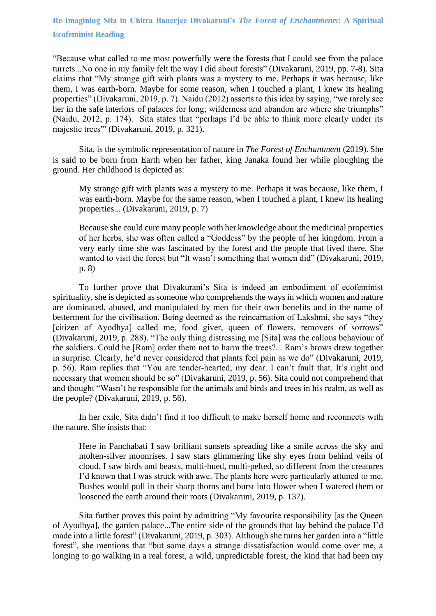"Because what called to me most powerfully were the forests that I could see from the palace turrets...No one in my family felt the way I did about forests" (Divakaruni, 2019, pp. 7-8). Sita claims that "My strange gift with plants was a mystery to me. Perhaps it was because, like them, I was earth-born. Maybe for some reason, when I touched a plant, I knew its healing properties" (Divakaruni, 2019, p. 7). Naidu (2012) asserts to this idea by saying, "we rarely see her in the safe interiors of palaces for long; wilderness and abandon are where she triumphs" (Naidu, 2012, p. 174). Sita states that "perhaps I'd be able to think more clearly under its majestic trees'" (Divakaruni, 2019, p. 321).

Sita, is the symbolic representation of nature in *The Forest of Enchantment* (2019). She is said to be born from Earth when her father, king Janaka found her while ploughing the ground. Her childhood is depicted as:

My strange gift with plants was a mystery to me. Perhaps it was because, like them, I was earth-born. Maybe for the same reason, when I touched a plant, I knew its healing properties... (Divakaruni, 2019, p. 7)

Because she could cure many people with her knowledge about the medicinal properties of her herbs, she was often called a "Goddess" by the people of her kingdom. From a very early time she was fascinated by the forest and the people that lived there. She wanted to visit the forest but "It wasn't something that women did" (Divakaruni, 2019, p. 8)

To further prove that Divakurani's Sita is indeed an embodiment of ecofeminist spirituality, she is depicted as someone who comprehends the ways in which women and nature are dominated, abused, and manipulated by men for their own benefits and in the name of betterment for the civilisation. Being deemed as the reincarnation of Lakshmi, she says "they [citizen of Ayodhya] called me, food giver, queen of flowers, removers of sorrows" (Divakaruni, 2019, p. 288). "The only thing distressing me [Sita] was the callous behaviour of the soldiers. Could he [Ram] order them not to harm the trees?... Ram's brows drew together in surprise. Clearly, he'd never considered that plants feel pain as we do" (Divakaruni, 2019, p. 56). Ram replies that "You are tender-hearted, my dear. I can't fault that. It's right and necessary that women should be so" (Divakaruni, 2019, p. 56). Sita could not comprehend that and thought "Wasn't he responsible for the animals and birds and trees in his realm, as well as the people? (Divakaruni, 2019, p. 56).

In her exile, Sita didn't find it too difficult to make herself home and reconnects with the nature. She insists that:

Here in Panchabati I saw brilliant sunsets spreading like a smile across the sky and molten-silver moonrises. I saw stars glimmering like shy eyes from behind veils of cloud. I saw birds and beasts, multi-hued, multi-pelted, so different from the creatures I'd known that I was struck with awe. The plants here were particularly attuned to me. Bushes would pull in their sharp thorns and burst into flower when I watered them or loosened the earth around their roots (Divakaruni, 2019, p. 137).

Sita further proves this point by admitting "My favourite responsibility [as the Queen of Ayodhya], the garden palace...The entire side of the grounds that lay behind the palace I'd made into a little forest" (Divakaruni, 2019, p. 303). Although she turns her garden into a "little forest", she mentions that "but some days a strange dissatisfaction would come over me, a longing to go walking in a real forest, a wild, unpredictable forest, the kind that had been my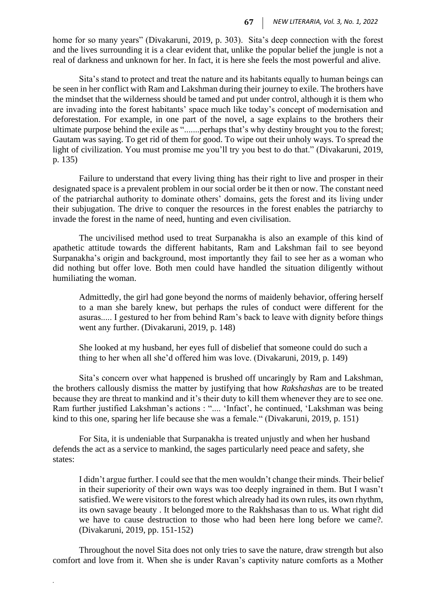home for so many years" (Divakaruni, 2019, p. 303). Sita's deep connection with the forest and the lives surrounding it is a clear evident that, unlike the popular belief the jungle is not a real of darkness and unknown for her. In fact, it is here she feels the most powerful and alive.

Sita's stand to protect and treat the nature and its habitants equally to human beings can be seen in her conflict with Ram and Lakshman during their journey to exile. The brothers have the mindset that the wilderness should be tamed and put under control, although it is them who are invading into the forest habitants' space much like today's concept of modernisation and deforestation. For example, in one part of the novel, a sage explains to the brothers their ultimate purpose behind the exile as ".......perhaps that's why destiny brought you to the forest; Gautam was saying. To get rid of them for good. To wipe out their unholy ways. To spread the light of civilization. You must promise me you'll try you best to do that." (Divakaruni, 2019, p. 135)

Failure to understand that every living thing has their right to live and prosper in their designated space is a prevalent problem in our social order be it then or now. The constant need of the patriarchal authority to dominate others' domains, gets the forest and its living under their subjugation. The drive to conquer the resources in the forest enables the patriarchy to invade the forest in the name of need, hunting and even civilisation.

The uncivilised method used to treat Surpanakha is also an example of this kind of apathetic attitude towards the different habitants, Ram and Lakshman fail to see beyond Surpanakha's origin and background, most importantly they fail to see her as a woman who did nothing but offer love. Both men could have handled the situation diligently without humiliating the woman.

Admittedly, the girl had gone beyond the norms of maidenly behavior, offering herself to a man she barely knew, but perhaps the rules of conduct were different for the asuras..... I gestured to her from behind Ram's back to leave with dignity before things went any further. (Divakaruni, 2019, p. 148)

She looked at my husband, her eyes full of disbelief that someone could do such a thing to her when all she'd offered him was love. (Divakaruni, 2019, p. 149)

Sita's concern over what happened is brushed off uncaringly by Ram and Lakshman, the brothers callously dismiss the matter by justifying that how *Rakshashas* are to be treated because they are threat to mankind and it's their duty to kill them whenever they are to see one. Ram further justified Lakshman's actions : ".... 'Infact', he continued, 'Lakshman was being kind to this one, sparing her life because she was a female." (Divakaruni, 2019, p. 151)

For Sita, it is undeniable that Surpanakha is treated unjustly and when her husband defends the act as a service to mankind, the sages particularly need peace and safety, she states:

I didn't argue further. I could see that the men wouldn't change their minds. Their belief in their superiority of their own ways was too deeply ingrained in them. But I wasn't satisfied. We were visitors to the forest which already had its own rules, its own rhythm, its own savage beauty . It belonged more to the Rakhshasas than to us. What right did we have to cause destruction to those who had been here long before we came?. (Divakaruni, 2019, pp. 151-152)

Throughout the novel Sita does not only tries to save the nature, draw strength but also comfort and love from it. When she is under Ravan's captivity nature comforts as a Mother

*.*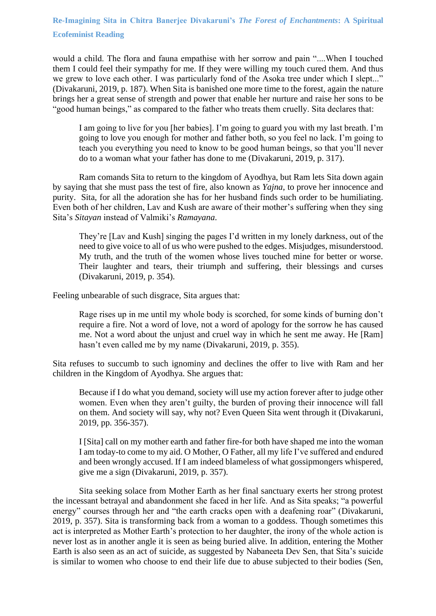would a child. The flora and fauna empathise with her sorrow and pain "....When I touched them I could feel their sympathy for me. If they were willing my touch cured them. And thus we grew to love each other. I was particularly fond of the Asoka tree under which I slept..." (Divakaruni, 2019, p. 187). When Sita is banished one more time to the forest, again the nature brings her a great sense of strength and power that enable her nurture and raise her sons to be "good human beings," as compared to the father who treats them cruelly. Sita declares that:

I am going to live for you [her babies]. I'm going to guard you with my last breath. I'm going to love you enough for mother and father both, so you feel no lack. I'm going to teach you everything you need to know to be good human beings, so that you'll never do to a woman what your father has done to me (Divakaruni, 2019, p. 317).

Ram comands Sita to return to the kingdom of Ayodhya, but Ram lets Sita down again by saying that she must pass the test of fire, also known as *Yajna*, to prove her innocence and purity. Sita, for all the adoration she has for her husband finds such order to be humiliating. Even both of her children, Lav and Kush are aware of their mother's suffering when they sing Sita's *Sitayan* instead of Valmiki's *Ramayana*.

They're [Lav and Kush] singing the pages I'd written in my lonely darkness, out of the need to give voice to all of us who were pushed to the edges. Misjudges, misunderstood. My truth, and the truth of the women whose lives touched mine for better or worse. Their laughter and tears, their triumph and suffering, their blessings and curses (Divakaruni, 2019, p. 354).

Feeling unbearable of such disgrace, Sita argues that:

Rage rises up in me until my whole body is scorched, for some kinds of burning don't require a fire. Not a word of love, not a word of apology for the sorrow he has caused me. Not a word about the unjust and cruel way in which he sent me away. He [Ram] hasn't even called me by my name (Divakaruni, 2019, p. 355).

Sita refuses to succumb to such ignominy and declines the offer to live with Ram and her children in the Kingdom of Ayodhya. She argues that:

Because if I do what you demand, society will use my action forever after to judge other women. Even when they aren't guilty, the burden of proving their innocence will fall on them. And society will say, why not? Even Queen Sita went through it (Divakaruni, 2019, pp. 356-357).

I [Sita] call on my mother earth and father fire-for both have shaped me into the woman I am today-to come to my aid. O Mother, O Father, all my life I've suffered and endured and been wrongly accused. If I am indeed blameless of what gossipmongers whispered, give me a sign (Divakaruni, 2019, p. 357).

Sita seeking solace from Mother Earth as her final sanctuary exerts her strong protest the incessant betrayal and abandonment she faced in her life. And as Sita speaks; "a powerful energy" courses through her and "the earth cracks open with a deafening roar" (Divakaruni, 2019, p. 357). Sita is transforming back from a woman to a goddess. Though sometimes this act is interpreted as Mother Earth's protection to her daughter, the irony of the whole action is never lost as in another angle it is seen as being buried alive. In addition, entering the Mother Earth is also seen as an act of suicide, as suggested by Nabaneeta Dev Sen, that Sita's suicide is similar to women who choose to end their life due to abuse subjected to their bodies (Sen,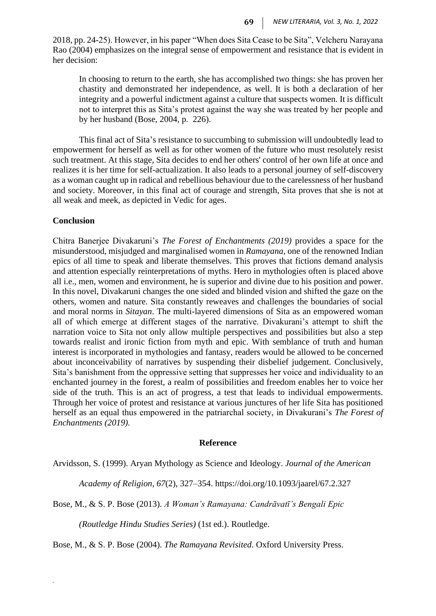2018, pp. 24-25). However, in his paper "When does Sita Cease to be Sita", Velcheru Narayana Rao (2004) emphasizes on the integral sense of empowerment and resistance that is evident in her decision:

In choosing to return to the earth, she has accomplished two things: she has proven her chastity and demonstrated her independence, as well. It is both a declaration of her integrity and a powerful indictment against a culture that suspects women. It is difficult not to interpret this as Sita's protest against the way she was treated by her people and by her husband (Bose, 2004, p. 226).

This final act of Sita's resistance to succumbing to submission will undoubtedly lead to empowerment for herself as well as for other women of the future who must resolutely resist such treatment. At this stage, Sita decides to end her others' control of her own life at once and realizes it is her time for self-actualization. It also leads to a personal journey of self-discovery as a woman caught up in radical and rebellious behaviour due to the carelessness of her husband and society. Moreover, in this final act of courage and strength, Sita proves that she is not at all weak and meek, as depicted in Vedic for ages.

### **Conclusion**

*.*

Chitra Banerjee Divakaruni's *The Forest of Enchantments (2019)* provides a space for the misunderstood, misjudged and marginalised women in *Ramayana*, one of the renowned Indian epics of all time to speak and liberate themselves. This proves that fictions demand analysis and attention especially reinterpretations of myths. Hero in mythologies often is placed above all i.e., men, women and environment, he is superior and divine due to his position and power. In this novel, Divakaruni changes the one sided and blinded vision and shifted the gaze on the others, women and nature. Sita constantly reweaves and challenges the boundaries of social and moral norms in *Sitayan*. The multi-layered dimensions of Sita as an empowered woman all of which emerge at different stages of the narrative. Divakurani's attempt to shift the narration voice to Sita not only allow multiple perspectives and possibilities but also a step towards realist and ironic fiction from myth and epic. With semblance of truth and human interest is incorporated in mythologies and fantasy, readers would be allowed to be concerned about inconceivability of narratives by suspending their disbelief judgement. Conclusively, Sita's banishment from the oppressive setting that suppresses her voice and individuality to an enchanted journey in the forest, a realm of possibilities and freedom enables her to voice her side of the truth. This is an act of progress, a test that leads to individual empowerments. Through her voice of protest and resistance at various junctures of her life Sita has positioned herself as an equal thus empowered in the patriarchal society, in Divakurani's *The Forest of Enchantments (2019).* 

#### **Reference**

Arvidsson, S. (1999). Aryan Mythology as Science and Ideology. *Journal of the American* 

*Academy of Religion*, *67*(2), 327–354. https://doi.org/10.1093/jaarel/67.2.327

Bose, M., & S. P. Bose (2013). *A Woman's Ramayana: Candrāvatī's Bengali Epic* 

*(Routledge Hindu Studies Series)* (1st ed.). Routledge.

Bose, M., & S. P. Bose (2004). *The Ramayana Revisited*. Oxford University Press.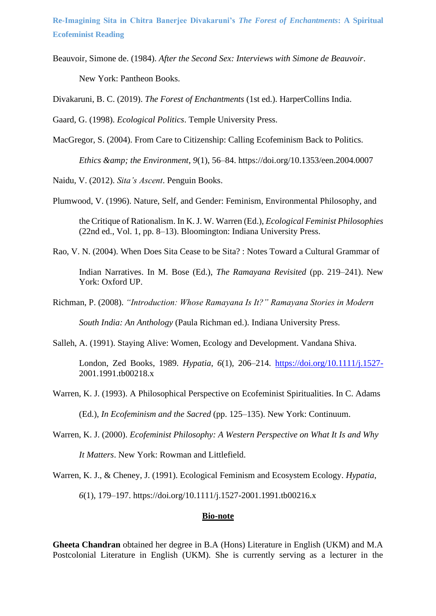Beauvoir, Simone de. (1984). *After the Second Sex: Interviews with Simone de Beauvoir*. New York: Pantheon Books.

Divakaruni, B. C. (2019). *The Forest of Enchantments* (1st ed.). HarperCollins India.

Gaard, G. (1998). *Ecological Politics*. Temple University Press.

MacGregor, S. (2004). From Care to Citizenship: Calling Ecofeminism Back to Politics.

*Ethics & the Environment*, *9*(1), 56–84. https://doi.org/10.1353/een.2004.0007

Naidu, V. (2012). *Sita's Ascent*. Penguin Books.

Plumwood, V. (1996). Nature, Self, and Gender: Feminism, Environmental Philosophy, and

the Critique of Rationalism. In K. J. W. Warren (Ed.), *Ecological Feminist Philosophies* (22nd ed., Vol. 1, pp. 8–13). Bloomington: Indiana University Press.

Rao, V. N. (2004). When Does Sita Cease to be Sita? : Notes Toward a Cultural Grammar of

Indian Narratives. In M. Bose (Ed.), *The Ramayana Revisited* (pp. 219–241). New York: Oxford UP.

Richman, P. (2008). *"Introduction: Whose Ramayana Is It?" Ramayana Stories in Modern* 

*South India: An Anthology* (Paula Richman ed.). Indiana University Press.

Salleh, A. (1991). Staying Alive: Women, Ecology and Development. Vandana Shiva.

London, Zed Books, 1989. *Hypatia*, *6*(1), 206–214. <https://doi.org/10.1111/j.1527-> 2001.1991.tb00218.x

- Warren, K. J. (1993). A Philosophical Perspective on Ecofeminist Spiritualities. In C. Adams (Ed.), *In Ecofeminism and the Sacred* (pp. 125–135). New York: Continuum.
- Warren, K. J. (2000). *Ecofeminist Philosophy: A Western Perspective on What It Is and Why It Matters*. New York: Rowman and Littlefield.

Warren, K. J., & Cheney, J. (1991). Ecological Feminism and Ecosystem Ecology. *Hypatia*,

*6*(1), 179–197. https://doi.org/10.1111/j.1527-2001.1991.tb00216.x

### **Bio-note**

**Gheeta Chandran** obtained her degree in B.A (Hons) Literature in English (UKM) and M.A Postcolonial Literature in English (UKM). She is currently serving as a lecturer in the